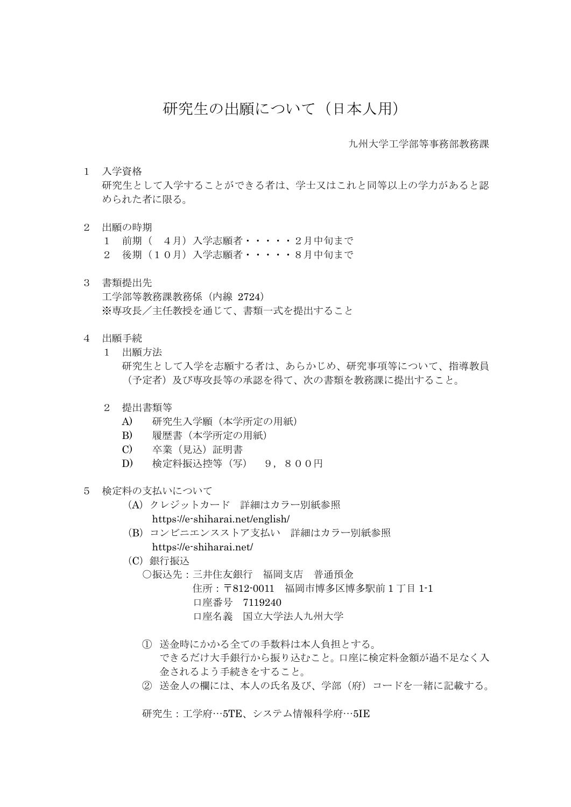## 研究生の出願について(日本人用)

九州大学工学部等事務部教務課

1 入学資格

研究生として入学することができる者は、学士又はこれと同等以上の学力があると認 められた者に限る。

- 2 出願の時期
	- 1 前期( 4月)入学志願者・・・・・2月中旬まで

2 後期(10月)入学志願者・・・・・8月中旬まで

- 3 書類提出先 工学部等教務課教務係(内線 2724) ※専攻長/主任教授を通じて、書類一式を提出すること
- 4 出願手続
	- 1 出願方法 研究生として入学を志願する者は、あらかじめ、研究事項等について、指導教員 (予定者)及び専攻長等の承認を得て、次の書類を教務課に提出すること。
	- 2 提出書類等
		- A) 研究生入学願(本学所定の用紙)
		- B) 履歴書(本学所定の用紙)
		- C) 卒業(見込)証明書
		- D) 検定料振込控等(写) 9,800円
- 5 検定料の支払いについて
	- (A)クレジットカード 詳細はカラー別紙参照
		- https://e-shiharai.net/english/
	- (B)コンビニエンスストア支払い 詳細はカラー別紙参照 https://e-shiharai.net/
	- (C)銀行振込
		- ○振込先:三井住友銀行 福岡支店 普通預金
			- 住所:〒812-0011 福岡市博多区博多駅前 1 丁目 1-1 口座番号 7119240
				- 口座名義 国立大学法人九州大学
		- ① 送金時にかかる全ての手数料は本人負担とする。 できるだけ大手銀行から振り込むこと。口座に検定料金額が過不足なく入 金されるよう手続きをすること。
		- ② 送金人の欄には、本人の氏名及び、学部(府)コードを一緒に記載する。

研究生:工学府…5TE、システム情報科学府…5IE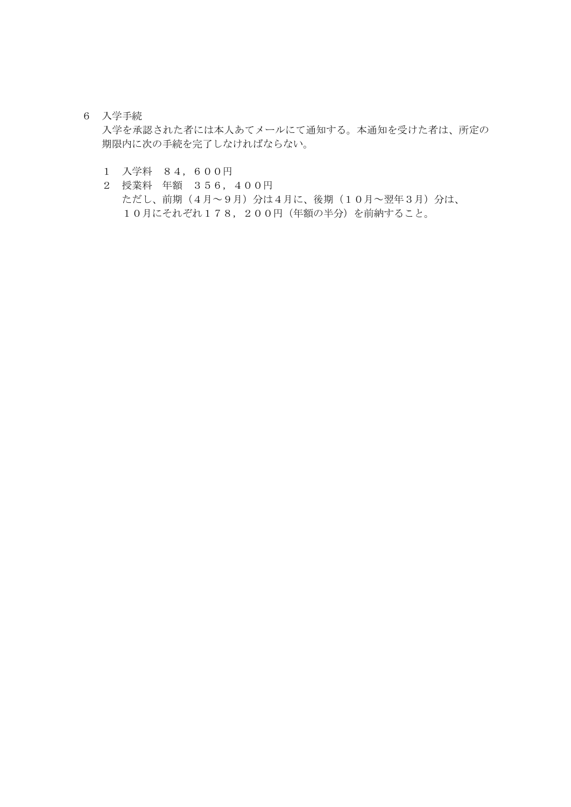## 6 入学手続

入学を承認された者には本人あてメールにて通知する。本通知を受けた者は、所定の 期限内に次の手続を完了しなければならない。

- 1 入学料 84,600円
- 2 授業料 年額 356,400円 ただし、前期(4月~9月)分は4月に、後期(10月~翌年3月)分は、 10月にそれぞれ178, 200円 (年額の半分)を前納すること。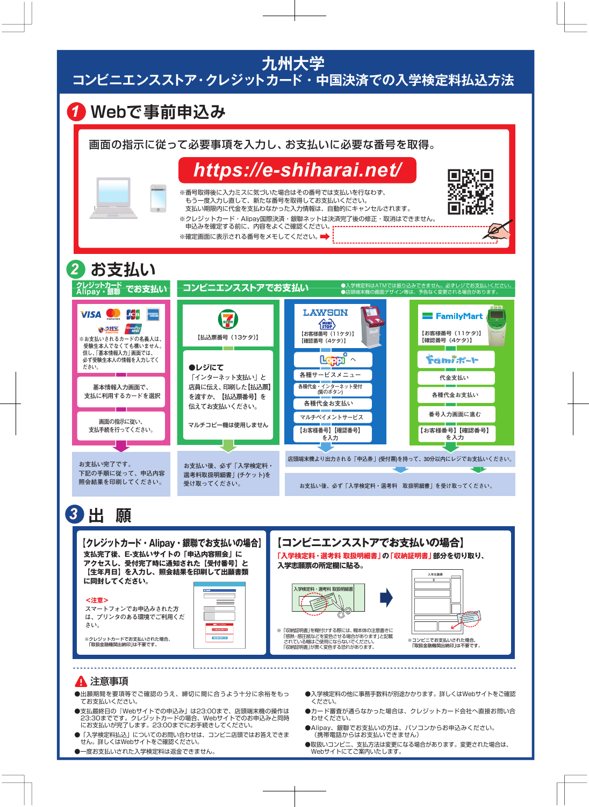九州大学 コンビニエンスストア・クレジットカード・中国決済での入学検定料払込方法



### 注意事項

- ●出願期間を要項等でご確認のうえ、締切に間に合うよう十分に余裕をもっ てお支払いください。
- ●支払最終日の『Webサイトでの申込み」は23:00まで、店頭端末機の操作は 23:30までです。クレジットカードの場合、Webサイトでのお申込みと同時 にお支払いが完了します。23:00までにお手続きしてください。
- 「入学検定料払込」についてのお問い合わせは、コンビニ店頭ではお答えできま せん。詳しくはWebサイトをご確認ください。
- ●一度お支払いされた入学検定料は返金できません。
- ●入学検定料の他に事務手数料が別途かかります。詳しくはWebサイトをご確認 ください。
- ●カード審査が通らなかった場合は、クレジットカード会社へ直接お問い合 わせください。
- ●Alipay、銀聯でお支払いの方は、パソコンからお申込みください。 (携帯電話からはお支払いできません)
- ●取扱いコンビニ、支払方法は変更になる場合があります。変更された場合は、 Webサイトにてご案内いたします。